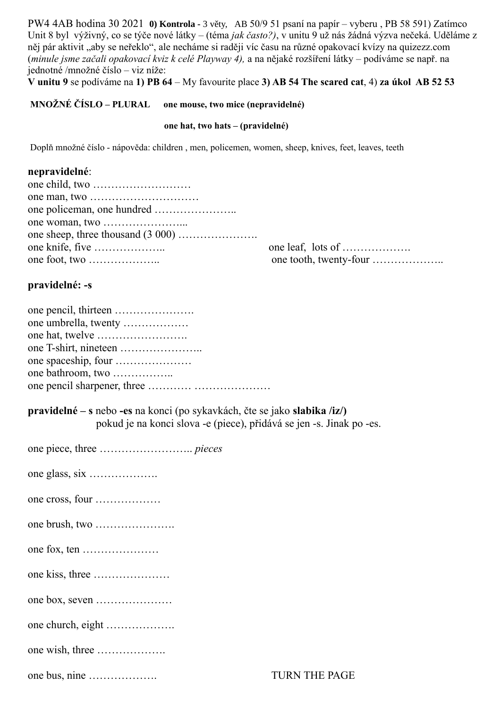PW4 4AB hodina 30 2021 **0) Kontrola -** 3 věty, AB 50/9 51 psaní na papír – vyberu , PB 58 591) Zatímco Unit 8 byl výživný, co se týče nové látky – (téma *jak často?)*, v unitu 9 už nás žádná výzva nečeká. Uděláme z něj pár aktivit "aby se neřeklo", ale necháme si raději víc času na různé opakovací kvízy na quizezz.com (*minule jsme začali opakovací kviz k celé Playway 4),* a na nějaké rozšíření látky – podíváme se např. na jednotné /množné číslo – viz níže:

**V unitu 9** se podíváme na **1) PB 64** – My favourite place **3) AB 54 The scared cat**, 4) **za úkol AB 52 53**

 **MNOŽNÉ ČÍSLO – PLURAL one mouse, two mice (nepravidelné)**

#### **one hat, two hats – (pravidelné)**

Doplň množné číslo - nápověda: children , men, policemen, women, sheep, knives, feet, leaves, teeth

### **nepravidelné**:

| one leaf, lots of |
|-------------------|
|                   |

### **pravidelné: -s**

| one umbrella, twenty |
|----------------------|
|                      |
|                      |
|                      |
| one bathroom, two    |
|                      |

**pravidelné – s** nebo **-es** na konci (po sykavkách, čte se jako **slabika /iz/)** pokud je na konci slova -e (piece), přidává se jen -s. Jinak po -es.

| one cross, four   |
|-------------------|
|                   |
|                   |
|                   |
|                   |
| one church, eight |
| one wish, three   |
| one bus, nine     |